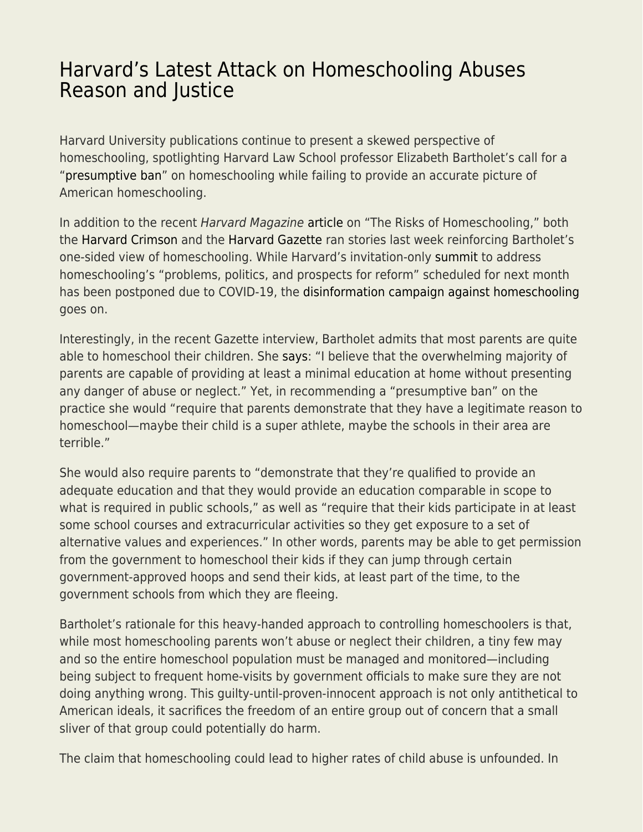## [Harvard's Latest Attack on Homeschooling Abuses](https://everything-voluntary.com/harvards-latest-attack-on-homeschooling-abuses-reason-and-justice) [Reason and Justice](https://everything-voluntary.com/harvards-latest-attack-on-homeschooling-abuses-reason-and-justice)

Harvard University publications continue to present a skewed perspective of homeschooling, spotlighting Harvard Law School professor Elizabeth Bartholet's call for a ["presumptive ban](https://arizonalawreview.org/homeschooling-parent-rights-absolutism-vs-child-rights-to-education-protection/)" on homeschooling while failing to provide an accurate picture of American homeschooling.

In addition to the recent Harvard Magazine [article](https://harvardmagazine.com/2020/05/right-now-risks-homeschooling) on "The Risks of Homeschooling," both the [Harvard Crimson](https://www.thecrimson.com/article/2020/5/14/powell-homeschool-graduate-speaks-out/) and the [Harvard Gazette](https://news.harvard.edu/gazette/story/2020/05/law-school-professor-says-there-may-be-a-dark-side-of-homeschooling/?fbclid=IwAR14bzNa273dwvbXmM2PMuIOTX5EoQgMS7vPUOjYrpncV_YbngHtP7HNjZw) ran stories last week reinforcing Bartholet's one-sided view of homeschooling. While Harvard's invitation-only [summit](https://cap.law.harvard.edu/homeschooling-summit-june-18-19-2020/) to address homeschooling's "problems, politics, and prospects for reform" scheduled for next month has been postponed due to COVID-19, the [disinformation campaign against homeschooling](https://www.hks.harvard.edu/events/disinformation-campaign-against-homeschooling?fbclid=IwAR00bc5cHqoxg31Rybo8E-fnTlaw8VbF9pIRK0MWKRx3KpF3sfGo61eiuvE) goes on.

Interestingly, in the recent Gazette interview, Bartholet admits that most parents are quite able to homeschool their children. She [says](https://news.harvard.edu/gazette/story/2020/05/law-school-professor-says-there-may-be-a-dark-side-of-homeschooling/?fbclid=IwAR14bzNa273dwvbXmM2PMuIOTX5EoQgMS7vPUOjYrpncV_YbngHtP7HNjZw): "I believe that the overwhelming majority of parents are capable of providing at least a minimal education at home without presenting any danger of abuse or neglect." Yet, in recommending a "presumptive ban" on the practice she would "require that parents demonstrate that they have a legitimate reason to homeschool—maybe their child is a super athlete, maybe the schools in their area are terrible."

She would also require parents to "demonstrate that they're qualified to provide an adequate education and that they would provide an education comparable in scope to what is required in public schools," as well as "require that their kids participate in at least some school courses and extracurricular activities so they get exposure to a set of alternative values and experiences." In other words, parents may be able to get permission from the government to homeschool their kids if they can jump through certain government-approved hoops and send their kids, at least part of the time, to the government schools from which they are fleeing.

Bartholet's rationale for this heavy-handed approach to controlling homeschoolers is that, while most homeschooling parents won't abuse or neglect their children, a tiny few may and so the entire homeschool population must be managed and monitored—including being subject to frequent home-visits by government officials to make sure they are not doing anything wrong. This guilty-until-proven-innocent approach is not only antithetical to American ideals, it sacrifices the freedom of an entire group out of concern that a small sliver of that group could potentially do harm.

The claim that homeschooling could lead to higher rates of child abuse is unfounded. In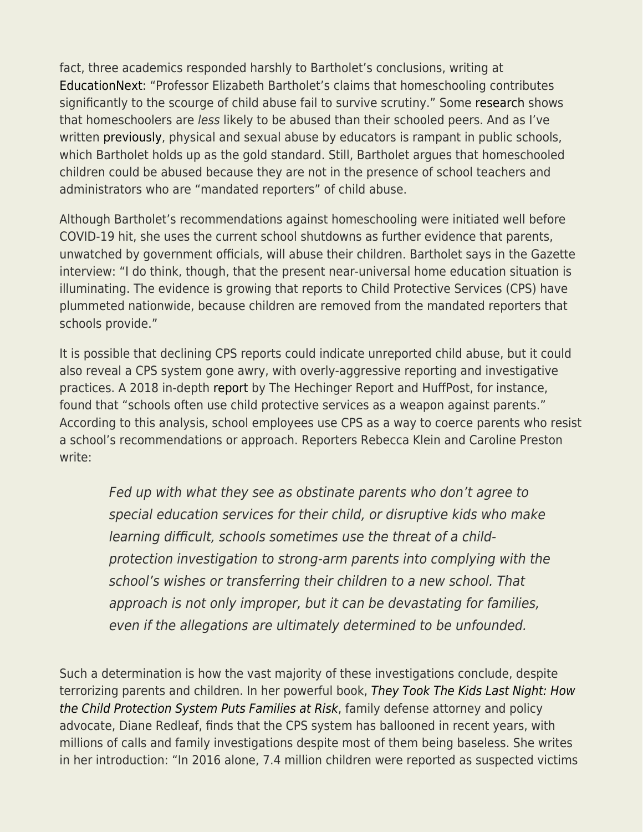fact, three academics responded harshly to Bartholet's conclusions, writing at [EducationNext:](https://www.educationnext.org/harvard-law-professors-attack-on-homeschooling-flawed-failure-terribly-timed/?mc_cid=35f5f0e379&mc_eid=3619baf3ad) "Professor Elizabeth Bartholet's claims that homeschooling contributes significantly to the scourge of child abuse fail to survive scrutiny." Some [research](https://www.nheri.org/child-abuse-of-public-school-private-school-and-homeschool-students-evidence-philosophy-and-reason/) shows that homeschoolers are less likely to be abused than their schooled peers. And as I've written [previously](https://www.cato.org/blog/case-against-homeschool-regulation), physical and sexual abuse by educators is rampant in public schools, which Bartholet holds up as the gold standard. Still, Bartholet argues that homeschooled children could be abused because they are not in the presence of school teachers and administrators who are "mandated reporters" of child abuse.

Although Bartholet's recommendations against homeschooling were initiated well before COVID-19 hit, she uses the current school shutdowns as further evidence that parents, unwatched by government officials, will abuse their children. Bartholet says in the Gazette interview: "I do think, though, that the present near-universal home education situation is illuminating. The evidence is growing that reports to Child Protective Services (CPS) have plummeted nationwide, because children are removed from the mandated reporters that schools provide."

It is possible that declining CPS reports could indicate unreported child abuse, but it could also reveal a CPS system gone awry, with overly-aggressive reporting and investigative practices. A 2018 in-depth [report](https://hechingerreport.org/when-schools-use-child-protective-services-as-a-weapon-against-parents/) by The Hechinger Report and HuffPost, for instance, found that "schools often use child protective services as a weapon against parents." According to this analysis, school employees use CPS as a way to coerce parents who resist a school's recommendations or approach. Reporters Rebecca Klein and Caroline Preston write:

Fed up with what they see as obstinate parents who don't agree to special education services for their child, or disruptive kids who make learning difficult, schools sometimes use the threat of a childprotection investigation to strong-arm parents into complying with the school's wishes or transferring their children to a new school. That approach is not only improper, but it can be devastating for families, even if the allegations are ultimately determined to be unfounded.

Such a determination is how the vast majority of these investigations conclude, despite terrorizing parents and children. In her powerful book, [They Took The Kids Last Night: How](https://www.amazon.com/They-Took-Kids-Last-Night/dp/1440866287/ref=tmm_hrd_swatch_0?_encoding=UTF8&qid=1589742964&sr=8-1) [the Child Protection System Puts Families at Risk](https://www.amazon.com/They-Took-Kids-Last-Night/dp/1440866287/ref=tmm_hrd_swatch_0?_encoding=UTF8&qid=1589742964&sr=8-1), family defense attorney and policy advocate, Diane Redleaf, finds that the CPS system has ballooned in recent years, with millions of calls and family investigations despite most of them being baseless. She writes in her introduction: "In 2016 alone, 7.4 million children were reported as suspected victims